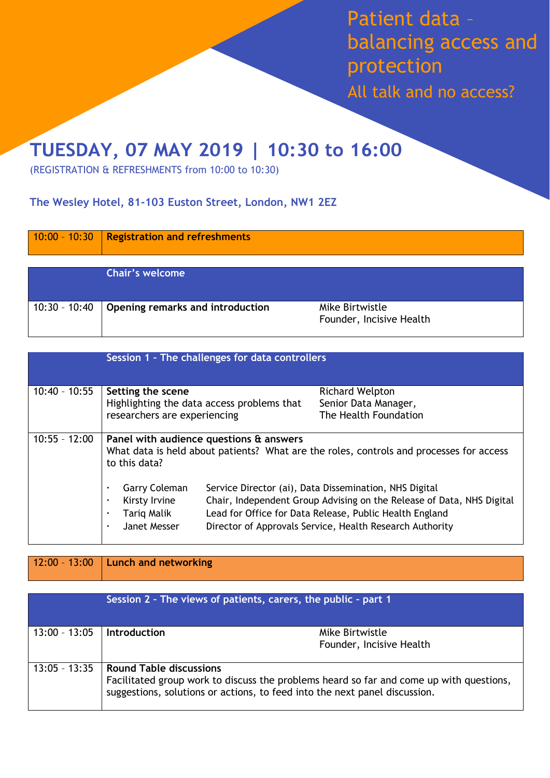Patient data – balancing access and protection

All talk and no access?

## TUESDAY, 07 MAY 2019 | 10:30 to 16:00

(REGISTRATION & REFRESHMENTS from 10:00 to 10:30)

## **The Wesley Hotel, [81-103 Euston Street, London, NW1 2EZ](https://www.google.com/maps/place/The+Wesley+Euston+Hotel+%26+Conference+Venue/@51.52674,-0.1364447,18z/data=!4m12!1m6!3m5!1s0x48761b2613287949:0x694fe6eab60064a6!2sThe+Wesley+Euston+Hotel+%26+Conference+Venue!8m2!3d51.52674!4d-0.135865!3m4!1s0x48761b2613287949:0x694fe6eab60064a6!8m2!3d51.52674!4d-0.135865)**

|                 | $10:00 - 10:30$ Registration and refreshments |                                             |
|-----------------|-----------------------------------------------|---------------------------------------------|
|                 | <b>Chair's welcome</b>                        |                                             |
| $10:30 - 10:40$ | Opening remarks and introduction              | Mike Birtwistle<br>Founder, Incisive Health |

|                 |                                                                                                                                                     | Session 1 - The challenges for data controllers |                                                                                                                                                                                                                                                        |
|-----------------|-----------------------------------------------------------------------------------------------------------------------------------------------------|-------------------------------------------------|--------------------------------------------------------------------------------------------------------------------------------------------------------------------------------------------------------------------------------------------------------|
| $10:40 - 10:55$ | Setting the scene<br>Highlighting the data access problems that<br>researchers are experiencing                                                     |                                                 | <b>Richard Welpton</b><br>Senior Data Manager,<br>The Health Foundation                                                                                                                                                                                |
| $10:55 - 12:00$ | Panel with audience questions & answers<br>What data is held about patients? What are the roles, controls and processes for access<br>to this data? |                                                 |                                                                                                                                                                                                                                                        |
|                 | <b>Garry Coleman</b><br>٠<br>Kirsty Irvine<br>$\blacksquare$<br>Tariq Malik<br>٠<br>Janet Messer<br>٠                                               |                                                 | Service Director (ai), Data Dissemination, NHS Digital<br>Chair, Independent Group Advising on the Release of Data, NHS Digital<br>Lead for Office for Data Release, Public Health England<br>Director of Approvals Service, Health Research Authority |

## 12:00 – 13:00 **Lunch and networking**

| Session 2 - The views of patients, carers, the public - part 1 |                                |                                                                                                                                                                       |
|----------------------------------------------------------------|--------------------------------|-----------------------------------------------------------------------------------------------------------------------------------------------------------------------|
| $13:00 - 13:05$                                                | <b>Introduction</b>            | Mike Birtwistle<br>Founder, Incisive Health                                                                                                                           |
| $13:05 - 13:35$                                                | <b>Round Table discussions</b> | Facilitated group work to discuss the problems heard so far and come up with questions,<br>suggestions, solutions or actions, to feed into the next panel discussion. |